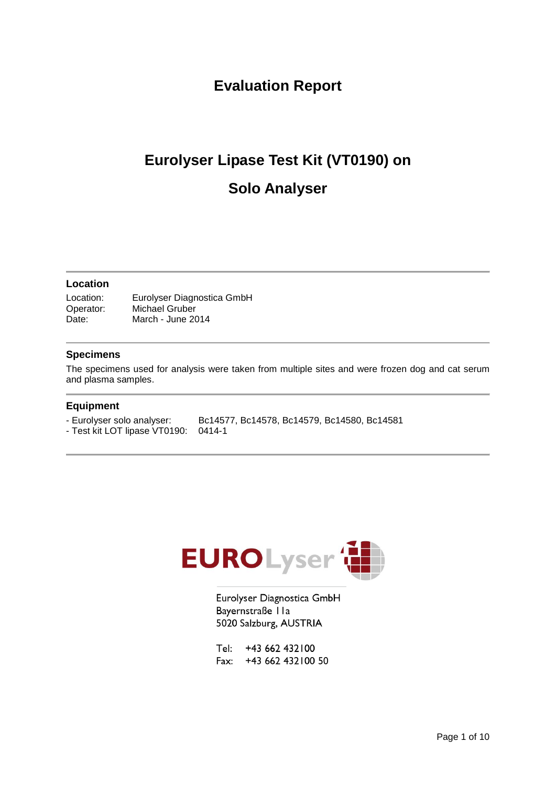### **Evaluation Report**

# **Eurolyser Lipase Test Kit (VT0190) on Solo Analyser**

#### **Location**

Location: Eurolyser Diagnostica GmbH Operator: Michael Gruber Date: March - June 2014

#### **Specimens**

The specimens used for analysis were taken from multiple sites and were frozen dog and cat serum and plasma samples.

#### **Equipment**

- Eurolyser solo analyser: Bc14577, Bc14578, Bc14579, Bc14580, Bc14581

- Test kit LOT lipase VT0190: 0414-1



Eurolyser Diagnostica GmbH Bayernstraße IIa 5020 Salzburg, AUSTRIA

Tel: +43 662 432100 Fax: +43 662 432 100 50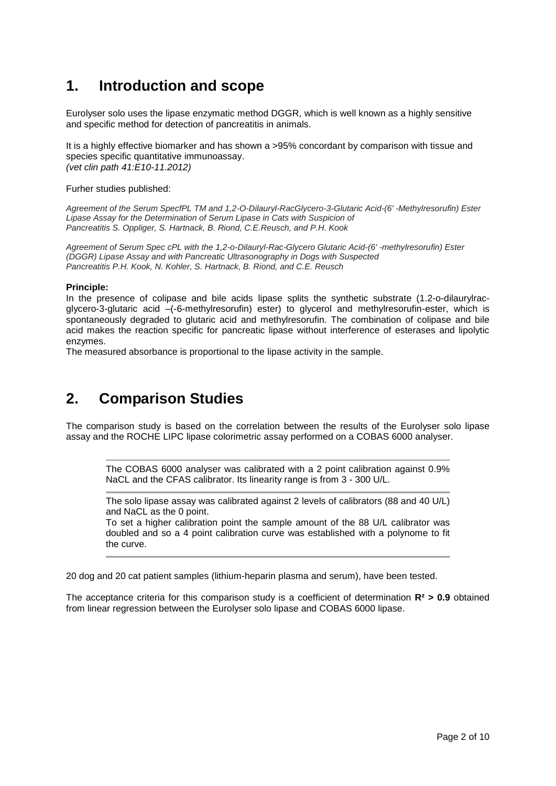### **1. Introduction and scope**

Eurolyser solo uses the lipase enzymatic method DGGR, which is well known as a highly sensitive and specific method for detection of pancreatitis in animals.

It is a highly effective biomarker and has shown a >95% concordant by comparison with tissue and species specific quantitative immunoassay. *(vet clin path 41:E10-11.2012)*

Furher studies published:

*Agreement of the Serum SpecfPL TM and 1,2-O-Dilauryl-RacGlycero-3-Glutaric Acid-(6' -Methylresorufin) Ester Lipase Assay for the Determination of Serum Lipase in Cats with Suspicion of Pancreatitis S. Oppliger, S. Hartnack, B. Riond, C.E.Reusch, and P.H. Kook*

*Agreement of Serum Spec cPL with the 1,2-o-Dilauryl-Rac-Glycero Glutaric Acid-(6' -methylresorufin) Ester (DGGR) Lipase Assay and with Pancreatic Ultrasonography in Dogs with Suspected Pancreatitis P.H. Kook, N. Kohler, S. Hartnack, B. Riond, and C.E. Reusch*

#### **Principle:**

In the presence of colipase and bile acids lipase splits the synthetic substrate (1.2-o-dilaurylracglycero-3-glutaric acid –(-6-methylresorufin) ester) to glycerol and methylresorufin-ester, which is spontaneously degraded to glutaric acid and methylresorufin. The combination of colipase and bile acid makes the reaction specific for pancreatic lipase without interference of esterases and lipolytic enzymes.

The measured absorbance is proportional to the lipase activity in the sample.

### **2. Comparison Studies**

The comparison study is based on the correlation between the results of the Eurolyser solo lipase assay and the ROCHE LIPC lipase colorimetric assay performed on a COBAS 6000 analyser.

The COBAS 6000 analyser was calibrated with a 2 point calibration against 0.9% NaCL and the CFAS calibrator. Its linearity range is from 3 - 300 U/L.

The solo lipase assay was calibrated against 2 levels of calibrators (88 and 40 U/L) and NaCL as the 0 point.

To set a higher calibration point the sample amount of the 88 U/L calibrator was doubled and so a 4 point calibration curve was established with a polynome to fit the curve.

20 dog and 20 cat patient samples (lithium-heparin plasma and serum), have been tested.

The acceptance criteria for this comparison study is a coefficient of determination **R² > 0.9** obtained from linear regression between the Eurolyser solo lipase and COBAS 6000 lipase.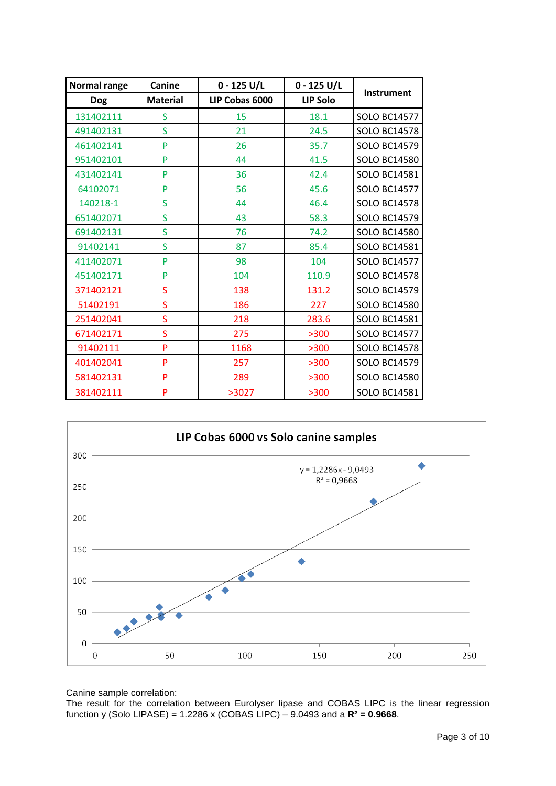| <b>Normal range</b> | Canine          | $0 - 125 U/L$  | $0 - 125$ U/L   |                     |
|---------------------|-----------------|----------------|-----------------|---------------------|
| <b>Dog</b>          | <b>Material</b> | LIP Cobas 6000 | <b>LIP Solo</b> | <b>Instrument</b>   |
| 131402111           | S               | 15             | 18.1            | <b>SOLO BC14577</b> |
| 491402131           | S               | 21             | 24.5            | <b>SOLO BC14578</b> |
| 461402141           | P               | 26             | 35.7            | <b>SOLO BC14579</b> |
| 951402101           | P               | 44             | 41.5            | <b>SOLO BC14580</b> |
| 431402141           | P               | 36             | 42.4            | <b>SOLO BC14581</b> |
| 64102071            | P               | 56             | 45.6            | <b>SOLO BC14577</b> |
| 140218-1            | S               | 44             | 46.4            | <b>SOLO BC14578</b> |
| 651402071           | Ś               | 43             | 58.3            | <b>SOLO BC14579</b> |
| 691402131           | S               | 76             | 74.2            | <b>SOLO BC14580</b> |
| 91402141            | S               | 87             | 85.4            | <b>SOLO BC14581</b> |
| 411402071           | P               | 98             | 104             | <b>SOLO BC14577</b> |
| 451402171           | P               | 104            | 110.9           | <b>SOLO BC14578</b> |
| 371402121           | S               | 138            | 131.2           | <b>SOLO BC14579</b> |
| 51402191            | Ś               | 186            | 227             | <b>SOLO BC14580</b> |
| 251402041           | Ś               | 218            | 283.6           | <b>SOLO BC14581</b> |
| 671402171           | Ś               | 275            | >300            | <b>SOLO BC14577</b> |
| 91402111            | P               | 1168           | >300            | <b>SOLO BC14578</b> |
| 401402041           | P               | 257            | >300            | <b>SOLO BC14579</b> |
| 581402131           | P               | 289            | >300            | <b>SOLO BC14580</b> |
| 381402111           | P               | >3027          | >300            | <b>SOLO BC14581</b> |



Canine sample correlation:

The result for the correlation between Eurolyser lipase and COBAS LIPC is the linear regression function y (Solo LIPASE) = 1.2286 x (COBAS LIPC) – 9.0493 and a **R² = 0.9668**.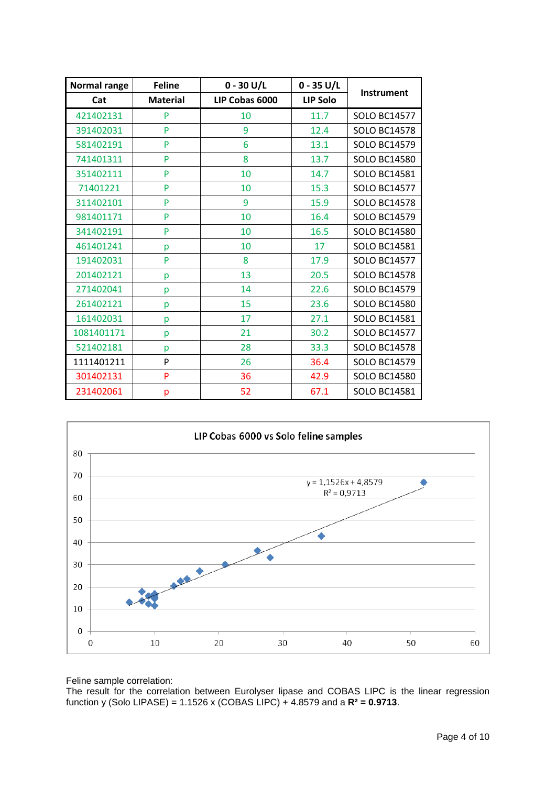| Normal range | <b>Feline</b>   | $0 - 30 U/L$   | $0 - 35 U/L$    |                     |
|--------------|-----------------|----------------|-----------------|---------------------|
| Cat          | <b>Material</b> | LIP Cobas 6000 | <b>LIP Solo</b> | <b>Instrument</b>   |
| 421402131    | P               | 10             | 11.7            | <b>SOLO BC14577</b> |
| 391402031    | P               | 9              | 12.4            | <b>SOLO BC14578</b> |
| 581402191    | P               | 6              | 13.1            | <b>SOLO BC14579</b> |
| 741401311    | P               | 8              | 13.7            | <b>SOLO BC14580</b> |
| 351402111    | P               | 10             | 14.7            | <b>SOLO BC14581</b> |
| 71401221     | P               | 10             | 15.3            | <b>SOLO BC14577</b> |
| 311402101    | P               | 9              | 15.9            | <b>SOLO BC14578</b> |
| 981401171    | P               | 10             | 16.4            | <b>SOLO BC14579</b> |
| 341402191    | P               | 10             | 16.5            | <b>SOLO BC14580</b> |
| 461401241    | p               | 10             | 17              | <b>SOLO BC14581</b> |
| 191402031    | P               | 8              | 17.9            | <b>SOLO BC14577</b> |
| 201402121    | p               | 13             | 20.5            | <b>SOLO BC14578</b> |
| 271402041    | p               | 14             | 22.6            | <b>SOLO BC14579</b> |
| 261402121    | p               | 15             | 23.6            | <b>SOLO BC14580</b> |
| 161402031    | p               | 17             | 27.1            | <b>SOLO BC14581</b> |
| 1081401171   | p               | 21             | 30.2            | <b>SOLO BC14577</b> |
| 521402181    | p               | 28             | 33.3            | <b>SOLO BC14578</b> |
| 1111401211   | P               | 26             | 36.4            | <b>SOLO BC14579</b> |
| 301402131    | P               | 36             | 42.9            | <b>SOLO BC14580</b> |
| 231402061    | p               | 52             | 67.1            | <b>SOLO BC14581</b> |



Feline sample correlation:

The result for the correlation between Eurolyser lipase and COBAS LIPC is the linear regression function y (Solo LIPASE) = 1.1526 x (COBAS LIPC) + 4.8579 and a **R² = 0.9713**.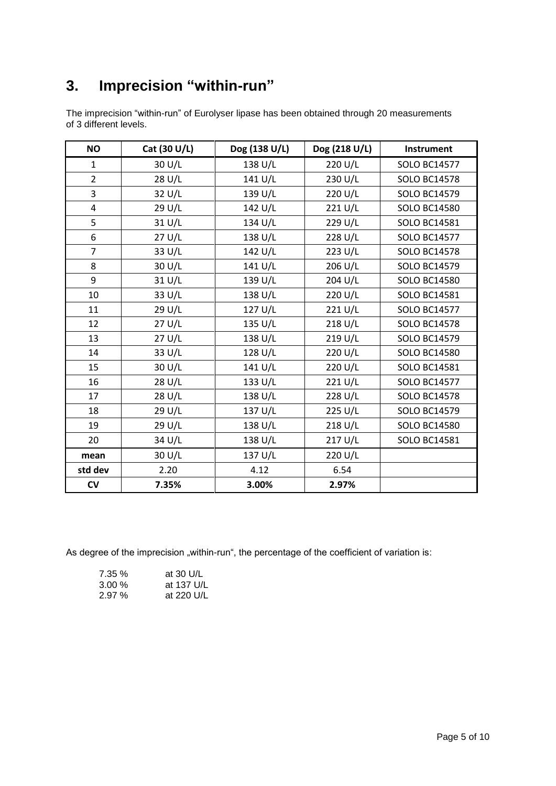# **3. Imprecision "within-run"**

| The imprecision "within-run" of Eurolyser lipase has been obtained through 20 measurements |  |  |  |
|--------------------------------------------------------------------------------------------|--|--|--|
| of 3 different levels.                                                                     |  |  |  |

| <b>NO</b>      | Cat (30 U/L) | Dog (138 U/L) | Dog (218 U/L) | Instrument          |
|----------------|--------------|---------------|---------------|---------------------|
| $\mathbf{1}$   | 30 U/L       | 138 U/L       | 220 U/L       | <b>SOLO BC14577</b> |
| $\overline{2}$ | 28 U/L       | 141 U/L       | 230 U/L       | <b>SOLO BC14578</b> |
| 3              | 32 U/L       | 139 U/L       | 220 U/L       | <b>SOLO BC14579</b> |
| $\overline{4}$ | 29 U/L       | 142 U/L       | 221 U/L       | <b>SOLO BC14580</b> |
| 5              | 31 U/L       | 134 U/L       | 229 U/L       | <b>SOLO BC14581</b> |
| 6              | 27 U/L       | 138 U/L       | 228 U/L       | <b>SOLO BC14577</b> |
| $\overline{7}$ | 33 U/L       | 142 U/L       | 223 U/L       | <b>SOLO BC14578</b> |
| 8              | 30 U/L       | 141 U/L       | 206 U/L       | <b>SOLO BC14579</b> |
| 9              | 31 U/L       | 139 U/L       | 204 U/L       | <b>SOLO BC14580</b> |
| 10             | 33 U/L       | 138 U/L       | 220 U/L       | <b>SOLO BC14581</b> |
| 11             | 29 U/L       | 127 U/L       | 221 U/L       | <b>SOLO BC14577</b> |
| 12             | 27 U/L       | 135 U/L       | 218 U/L       | <b>SOLO BC14578</b> |
| 13             | 27 U/L       | 138 U/L       | 219 U/L       | <b>SOLO BC14579</b> |
| 14             | 33 U/L       | 128 U/L       | 220 U/L       | <b>SOLO BC14580</b> |
| 15             | 30 U/L       | 141 U/L       | 220 U/L       | <b>SOLO BC14581</b> |
| 16             | 28 U/L       | 133 U/L       | 221 U/L       | <b>SOLO BC14577</b> |
| 17             | 28 U/L       | 138 U/L       | 228 U/L       | <b>SOLO BC14578</b> |
| 18             | 29 U/L       | 137 U/L       | 225 U/L       | <b>SOLO BC14579</b> |
| 19             | 29 U/L       | 138 U/L       | 218 U/L       | <b>SOLO BC14580</b> |
| 20             | 34 U/L       | 138 U/L       | 217 U/L       | <b>SOLO BC14581</b> |
| mean           | 30 U/L       | 137 U/L       | 220 U/L       |                     |
| std dev        | 2.20         | 4.12          | 6.54          |                     |
| $\mathsf{cv}$  | 7.35%        | 3.00%         | 2.97%         |                     |

As degree of the imprecision "within-run", the percentage of the coefficient of variation is:

| 7.35%    | at 30 U/L  |
|----------|------------|
| $3.00\%$ | at 137 U/L |
| 2.97%    | at 220 U/L |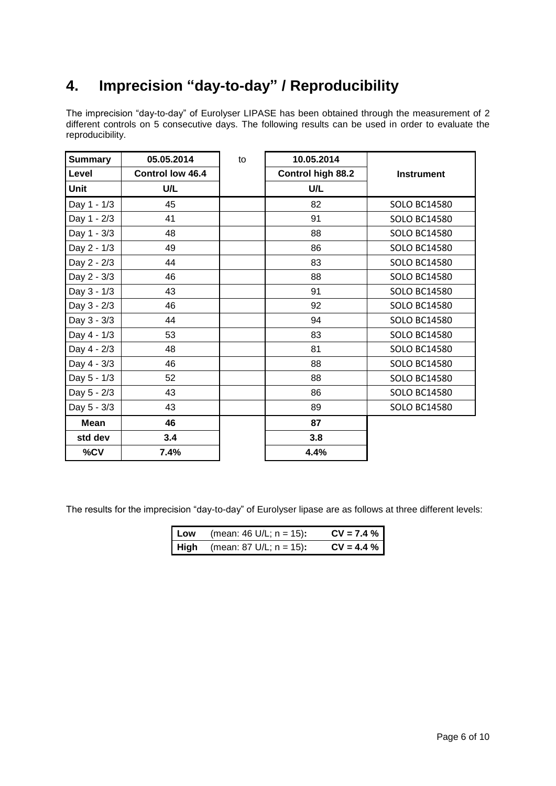## **4. Imprecision "day-to-day" / Reproducibility**

The imprecision "day-to-day" of Eurolyser LIPASE has been obtained through the measurement of 2 different controls on 5 consecutive days. The following results can be used in order to evaluate the reproducibility.

| <b>Summary</b> | 05.05.2014              | to | 10.05.2014        |                     |
|----------------|-------------------------|----|-------------------|---------------------|
| Level          | <b>Control low 46.4</b> |    | Control high 88.2 | <b>Instrument</b>   |
| <b>Unit</b>    | U/L                     |    | U/L               |                     |
| Day 1 - 1/3    | 45                      |    | 82                | <b>SOLO BC14580</b> |
| Day 1 - 2/3    | 41                      |    | 91                | <b>SOLO BC14580</b> |
| Day 1 - 3/3    | 48                      |    | 88                | <b>SOLO BC14580</b> |
| Day 2 - 1/3    | 49                      |    | 86                | <b>SOLO BC14580</b> |
| Day 2 - 2/3    | 44                      |    | 83                | <b>SOLO BC14580</b> |
| Day 2 - 3/3    | 46                      |    | 88                | <b>SOLO BC14580</b> |
| Day 3 - 1/3    | 43                      |    | 91                | <b>SOLO BC14580</b> |
| Day 3 - 2/3    | 46                      |    | 92                | <b>SOLO BC14580</b> |
| Day 3 - 3/3    | 44                      |    | 94                | <b>SOLO BC14580</b> |
| Day 4 - 1/3    | 53                      |    | 83                | <b>SOLO BC14580</b> |
| Day 4 - 2/3    | 48                      |    | 81                | <b>SOLO BC14580</b> |
| Day 4 - 3/3    | 46                      |    | 88                | <b>SOLO BC14580</b> |
| Day 5 - 1/3    | 52                      |    | 88                | <b>SOLO BC14580</b> |
| Day 5 - 2/3    | 43                      |    | 86                | <b>SOLO BC14580</b> |
| Day 5 - 3/3    | 43                      |    | 89                | <b>SOLO BC14580</b> |
| <b>Mean</b>    | 46                      |    | 87                |                     |
| std dev        | 3.4                     |    | 3.8               |                     |
| %CV            | 7.4%                    |    | 4.4%              |                     |

The results for the imprecision "day-to-day" of Eurolyser lipase are as follows at three different levels:

| Low | (mean: 46 U/L; $n = 15$ ):             | $CV = 7.4 %$ |
|-----|----------------------------------------|--------------|
|     | <b>High</b> (mean: 87 U/L; $n = 15$ ): | $CV = 4.4 %$ |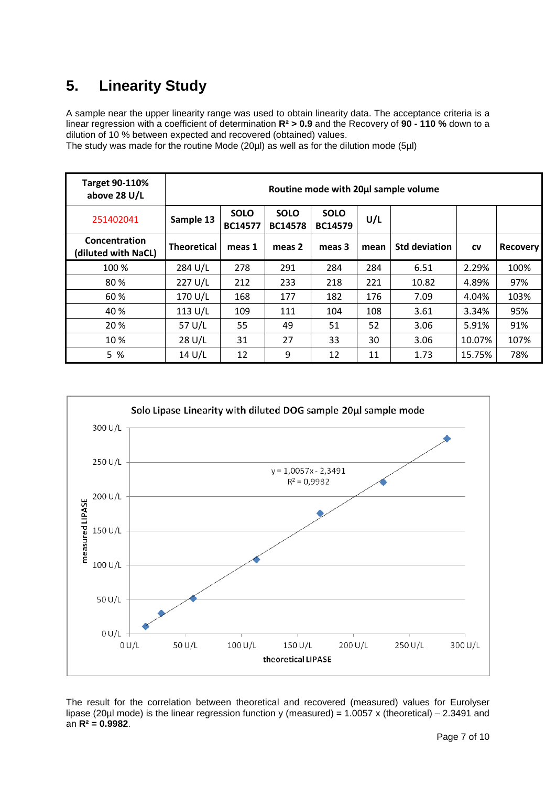## **5. Linearity Study**

A sample near the upper linearity range was used to obtain linearity data. The acceptance criteria is a linear regression with a coefficient of determination **R² > 0.9** and the Recovery of **90 - 110 %** down to a dilution of 10 % between expected and recovered (obtained) values.

The study was made for the routine Mode (20µl) as well as for the dilution mode (5µl)

| <b>Target 90-110%</b><br>above 28 U/L | Routine mode with 20µl sample volume |                               |                               |                               |      |                      |           |                 |
|---------------------------------------|--------------------------------------|-------------------------------|-------------------------------|-------------------------------|------|----------------------|-----------|-----------------|
| 251402041                             | Sample 13                            | <b>SOLO</b><br><b>BC14577</b> | <b>SOLO</b><br><b>BC14578</b> | <b>SOLO</b><br><b>BC14579</b> | U/L  |                      |           |                 |
| Concentration<br>(diluted with NaCL)  | <b>Theoretical</b>                   | meas 1                        | meas 2                        | meas 3                        | mean | <b>Std deviation</b> | <b>CV</b> | <b>Recovery</b> |
| 100 %                                 | 284 U/L                              | 278                           | 291                           | 284                           | 284  | 6.51                 | 2.29%     | 100%            |
| 80%                                   | 227 U/L                              | 212                           | 233                           | 218                           | 221  | 10.82                | 4.89%     | 97%             |
| 60 %                                  | 170 U/L                              | 168                           | 177                           | 182                           | 176  | 7.09                 | 4.04%     | 103%            |
| 40 %                                  | 113 U/L                              | 109                           | 111                           | 104                           | 108  | 3.61                 | 3.34%     | 95%             |
| 20 %                                  | 57 U/L                               | 55                            | 49                            | 51                            | 52   | 3.06                 | 5.91%     | 91%             |
| 10 %                                  | 28 U/L                               | 31                            | 27                            | 33                            | 30   | 3.06                 | 10.07%    | 107%            |
| 5 %                                   | 14 U/L                               | 12                            | 9                             | 12                            | 11   | 1.73                 | 15.75%    | 78%             |



The result for the correlation between theoretical and recovered (measured) values for Eurolyser lipase (20µl mode) is the linear regression function y (measured) = 1.0057 x (theoretical) – 2.3491 and an **R² = 0.9982**.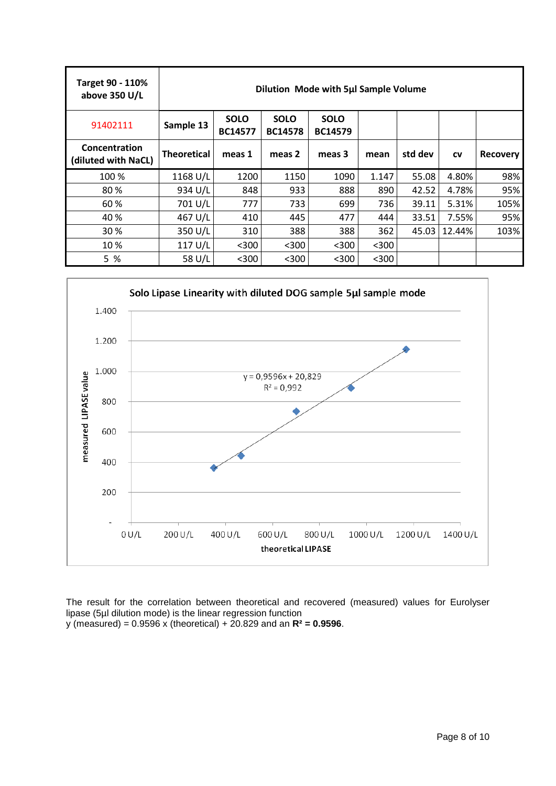| Target 90 - 110%<br>above 350 U/L    | Dilution Mode with 5µl Sample Volume |                               |                               |                               |       |         |           |                 |
|--------------------------------------|--------------------------------------|-------------------------------|-------------------------------|-------------------------------|-------|---------|-----------|-----------------|
| 91402111                             | Sample 13                            | <b>SOLO</b><br><b>BC14577</b> | <b>SOLO</b><br><b>BC14578</b> | <b>SOLO</b><br><b>BC14579</b> |       |         |           |                 |
| Concentration<br>(diluted with NaCL) | <b>Theoretical</b>                   | meas 1                        | meas 2                        | meas 3                        | mean  | std dev | <b>CV</b> | <b>Recovery</b> |
| 100 %                                | 1168 U/L                             | 1200                          | 1150                          | 1090                          | 1.147 | 55.08   | 4.80%     | 98%             |
| 80%                                  | 934 U/L                              | 848                           | 933                           | 888                           | 890   | 42.52   | 4.78%     | 95%             |
| 60%                                  | 701 U/L                              | 777                           | 733                           | 699                           | 736   | 39.11   | 5.31%     | 105%            |
| 40 %                                 | 467 U/L                              | 410                           | 445                           | 477                           | 444   | 33.51   | 7.55%     | 95%             |
| 30 %                                 | 350 U/L                              | 310                           | 388                           | 388                           | 362   | 45.03   | 12.44%    | 103%            |
| 10%                                  | 117 U/L                              | $300$                         | $300$                         | $300$                         | $300$ |         |           |                 |
| 5 %                                  | 58 U/L                               | $300$                         | $300$                         | $300$                         | $300$ |         |           |                 |



The result for the correlation between theoretical and recovered (measured) values for Eurolyser lipase (5µl dilution mode) is the linear regression function y (measured) = 0.9596 x (theoretical) + 20.829 and an **R² = 0.9596**.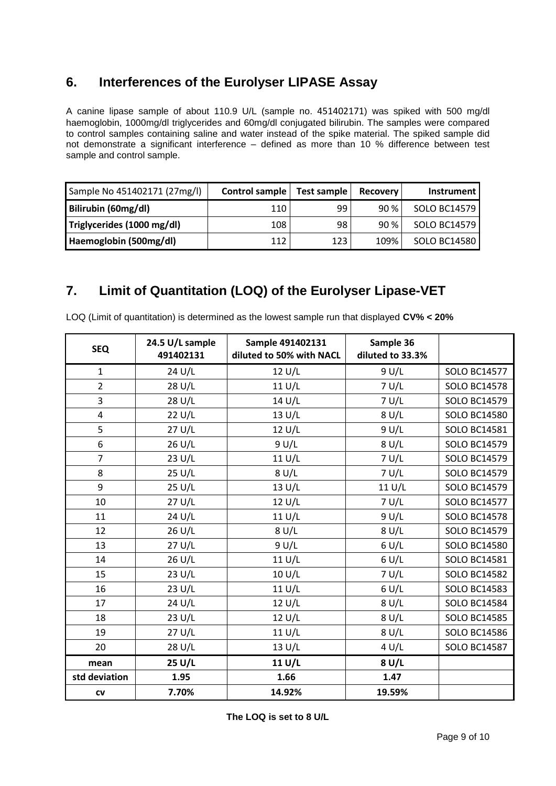#### **6. Interferences of the Eurolyser LIPASE Assay**

A canine lipase sample of about 110.9 U/L (sample no. 451402171) was spiked with 500 mg/dl haemoglobin, 1000mg/dl triglycerides and 60mg/dl conjugated bilirubin. The samples were compared to control samples containing saline and water instead of the spike material. The spiked sample did not demonstrate a significant interference – defined as more than 10 % difference between test sample and control sample.

| Sample No 451402171 (27mg/l) | Control sample | Test sample | <b>Recovery</b> | <b>Instrument</b> |
|------------------------------|----------------|-------------|-----------------|-------------------|
| Bilirubin (60mg/dl)          | 110            | 99          | 90%             | SOLO BC14579      |
| Triglycerides (1000 mg/dl)   | 108            | 98          | 90 %            | SOLO BC14579      |
| Haemoglobin (500mg/dl)       | 112            | 123         | 109%            | SOLO BC14580      |

#### **7. Limit of Quantitation (LOQ) of the Eurolyser Lipase-VET**

| <b>SEQ</b>              | 24.5 U/L sample<br>491402131 | Sample 491402131<br>diluted to 50% with NACL | Sample 36<br>diluted to 33.3% |                     |
|-------------------------|------------------------------|----------------------------------------------|-------------------------------|---------------------|
| $\mathbf{1}$            | 24 U/L                       | 12 U/L                                       | 9 U/L                         | <b>SOLO BC14577</b> |
| $\overline{2}$          | 28 U/L                       | 11 U/L                                       | 7 U/L                         | <b>SOLO BC14578</b> |
| 3                       | 28 U/L                       | 14 U/L                                       | 7 U/L                         | <b>SOLO BC14579</b> |
| $\overline{\mathbf{4}}$ | 22 U/L                       | 13 U/L                                       | 8 U/L                         | <b>SOLO BC14580</b> |
| 5                       | 27 U/L                       | 12 U/L                                       | 9 U/L                         | SOLO BC14581        |
| 6                       | 26 U/L                       | 9 U/L                                        | 8 U/L                         | <b>SOLO BC14579</b> |
| $\overline{7}$          | 23 U/L                       | 11 U/L                                       | 7 U/L                         | <b>SOLO BC14579</b> |
| 8                       | 25 U/L                       | 8 U/L                                        | 7 U/L                         | <b>SOLO BC14579</b> |
| 9                       | 25 U/L                       | 13 U/L                                       | 11 U/L                        | <b>SOLO BC14579</b> |
| 10                      | 27 U/L                       | 12 U/L                                       | 7 U/L                         | <b>SOLO BC14577</b> |
| 11                      | 24 U/L                       | 11 U/L                                       | 9 U/L                         | <b>SOLO BC14578</b> |
| 12                      | 26 U/L                       | 8 U/L                                        | 8 U/L                         | <b>SOLO BC14579</b> |
| 13                      | 27 U/L                       | 9 U/L                                        | 6 U/L                         | <b>SOLO BC14580</b> |
| 14                      | 26 U/L                       | 11 U/L                                       | 6 U/L                         | <b>SOLO BC14581</b> |
| 15                      | 23 U/L                       | 10 U/L                                       | 7 U/L                         | <b>SOLO BC14582</b> |
| 16                      | 23 U/L                       | 11 U/L                                       | 6 U/L                         | <b>SOLO BC14583</b> |
| 17                      | 24 U/L                       | 12 U/L                                       | 8 U/L                         | <b>SOLO BC14584</b> |
| 18                      | 23 U/L                       | 12 U/L                                       | 8 U/L                         | <b>SOLO BC14585</b> |
| 19                      | 27 U/L                       | 11 U/L                                       | 8 U/L                         | <b>SOLO BC14586</b> |
| 20                      | 28 U/L                       | 13 U/L                                       | 4 U/L                         | <b>SOLO BC14587</b> |
| mean                    | 25 U/L                       | 11 U/L                                       | 8 U/L                         |                     |
| std deviation           | 1.95                         | 1.66                                         | 1.47                          |                     |
| CV                      | 7.70%                        | 14.92%                                       | 19.59%                        |                     |

LOQ (Limit of quantitation) is determined as the lowest sample run that displayed **CV% < 20%**

**The LOQ is set to 8 U/L**